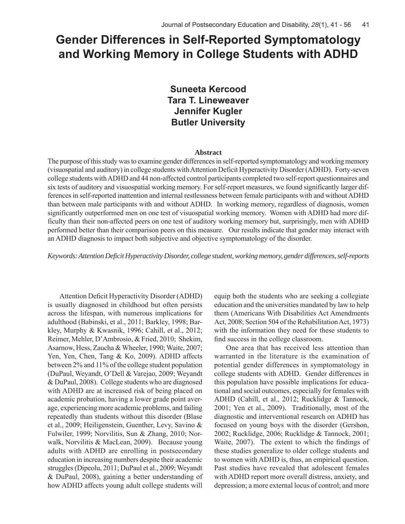# **Gender Differences in Self-Reported Symptomatology and Working Memory in College Students with ADHD**

# **Suneeta Kercood Tara T. Lineweaver Jennifer Kugler Butler University**

# **Abstract**

The purpose of this study was to examine gender differences in self-reported symptomatology and working memory (visuospatial and auditory) in college students with Attention Deficit Hyperactivity Disorder (ADHD). Forty-seven college students with ADHD and 44 non-affected control participants completed two self-report questionnaires and six tests of auditory and visuospatial working memory. For self-report measures, we found significantly larger differences in self-reported inattention and internal restlessness between female participants with and without ADHD than between male participants with and without ADHD. In working memory, regardless of diagnosis, women significantly outperformed men on one test of visuospatial working memory. Women with ADHD had more difficulty than their non-affected peers on one test of auditory working memory but, surprisingly, men with ADHD performed better than their comparison peers on this measure. Our results indicate that gender may interact with an ADHD diagnosis to impact both subjective and objective symptomatology of the disorder.

*Keywords: Attention Deficit Hyperactivity Disorder, college student, working memory, gender differences, self-reports*

Attention Deficit Hyperactivity Disorder (ADHD) is usually diagnosed in childhood but often persists across the lifespan, with numerous implications for adulthood (Babinski, et al., 2011; Barkley, 1998; Barkley, Murphy & Kwasnik, 1996; Cahill, et al., 2012; Reimer, Mehler, D'Ambrosio, & Fried, 2010; Shekim, Asarnow, Hess, Zaucha & Wheeler, 1990; Waite, 2007; Yen, Yen, Chen, Tang & Ko, 2009). ADHD affects between 2% and 11% of the college student population (DuPaul, Weyandt, O'Dell & Varejao, 2009; Weyandt & DuPaul, 2008). College students who are diagnosed with ADHD are at increased risk of being placed on academic probation, having a lower grade point average, experiencing more academic problems, and failing repeatedly than students without this disorder (Blase et al., 2009; Heiligenstein, Guenther, Levy, Savino & Fulwiler, 1999; Norvilitis, Sun & Zhang, 2010; Norwalk, Norvilitis & MacLean, 2009). Because young adults with ADHD are enrolling in postsecondary education in increasing numbers despite their academic struggles (Dipeolu, 2011; DuPaul et al., 2009; Weyandt & DuPaul, 2008), gaining a better understanding of how ADHD affects young adult college students will

equip both the students who are seeking a collegiate education and the universities mandated by law to help them (Americans With Disabilities Act Amendments Act, 2008; Section 504 of the Rehabilitation Act, 1973) with the information they need for these students to find success in the college classroom.

One area that has received less attention than warranted in the literature is the examination of potential gender differences in symptomatology in college students with ADHD. Gender differences in this population have possible implications for educational and social outcomes, especially for females with ADHD (Cahill, et al., 2012; Rucklidge & Tannock, 2001; Yen et al., 2009). Traditionally, most of the diagnostic and interventional research on ADHD has focused on young boys with the disorder (Gershon, 2002; Rucklidge, 2006; Rucklidge & Tannock, 2001; Waite, 2007). The extent to which the findings of these studies generalize to older college students and to women with ADHD is, thus, an empirical question. Past studies have revealed that adolescent females with ADHD report more overall distress, anxiety, and depression; a more external locus of control; and more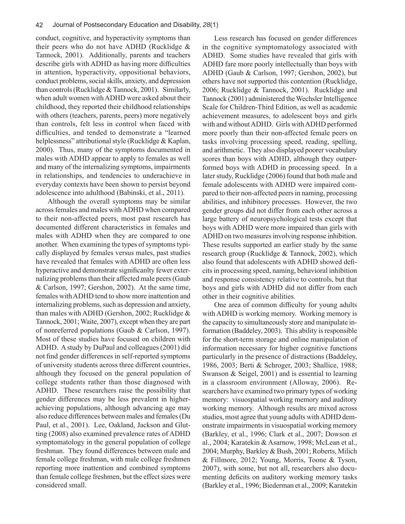conduct, cognitive, and hyperactivity symptoms than their peers who do not have ADHD (Rucklidge & Tannock, 2001). Additionally, parents and teachers describe girls with ADHD as having more difficulties in attention, hyperactivity, oppositional behaviors, conduct problems, social skills, anxiety, and depression than controls (Rucklidge & Tannock, 2001). Similarly, when adult women with ADHD were asked about their childhood, they reported their childhood relationships with others (teachers, parents, peers) more negatively than controls, felt less in control when faced with difficulties, and tended to demonstrate a "learned helplessness" attributional style (Rucklidge & Kaplan, 2000). Thus, many of the symptoms documented in males with ADHD appear to apply to females as well and many of the internalizing symptoms, impairments in relationships, and tendencies to underachieve in everyday contexts have been shown to persist beyond adolescence into adulthood (Babinski, et al., 2011).

Although the overall symptoms may be similar across females and males with ADHD when compared to their non-affected peers, most past research has documented different characteristics in females and males with ADHD when they are compared to one another. When examining the types of symptoms typically displayed by females versus males, past studies have revealed that females with ADHD are often less hyperactive and demonstrate significanlty fewer externalizing problems than their affected male peers (Gaub & Carlson, 1997; Gershon, 2002). At the same time, females with ADHD tend to show more inattention and internalizing problems, such as depression and anxiety, than males with ADHD (Gershon, 2002; Rucklidge & Tannock, 2001; Waite, 2007), except when they are part of nonreferred populations (Gaub & Carlson, 1997). Most of these studies have focused on children with ADHD. A study by DuPaul and colleagues (2001) did not find gender differences in self-reported symptoms of university students across three different countries, although they focused on the general population of college students rather than those diagnosed with ADHD. These researchers raise the possibility that gender differences may be less prevalent in higherachieving populations, although advancing age may also reduce differences between males and females (Du Paul, et al., 2001). Lee, Oakland, Jackson and Glutting (2008) also examined prevalence rates of ADHD symptomatology in the general population of college freshman. They found differences between male and female college freshman, with male college freshmen reporting more inattention and combined symptoms than female college freshmen, but the effect sizes were considered small.

Less research has focused on gender differences in the cognitive symptomatology associated with ADHD. Some studies have revealed that girls with ADHD fare more poorly intellectually than boys with ADHD (Gaub & Carlson, 1997; Gershon, 2002), but others have not supported this contention (Rucklidge, 2006; Rucklidge & Tannock, 2001). Rucklidge and Tannock (2001) administered the Wechsler Intelligence Scale for Children-Third Edition, as well as academic achievement measures, to adolescent boys and girls with and without ADHD. Girls with ADHD performed more poorly than their non-affected female peers on tasks involving processing speed, reading, spelling, and arithmetic. They also displayed poorer vocabulary scores than boys with ADHD, although they outperformed boys with ADHD in processing speed. In a later study, Rucklidge (2006) found that both male and female adolescents with ADHD were impaired compared to their non-affected peers in naming, processing abilities, and inhibitory processes. However, the two gender groups did not differ from each other across a large battery of neuropsychological tests except that boys with ADHD were more impaired than girls with ADHD on two measures involving response inhibition. These results supported an earlier study by the same research group (Rucklidge & Tannock, 2002), which also found that adolescents with ADHD showed deficits in processing speed, naming, behavioral inhibition and response consistency relative to controls, but that boys and girls with ADHD did not differ from each other in their cognitive abilities.

One area of common difficulty for young adults with ADHD is working memory. Working memory is the capacity to simultaneously store and manipulate information (Baddeley, 2003). This ability is responsible for the short-term storage and online manipulation of information necessary for higher cognitive functions particularly in the presence of distractions (Baddeley, 1986, 2003; Berti & Schroger, 2003; Shallice, 1988; Swanson & Seigel, 2001) and is essential to learning in a classroom environment (Alloway, 2006). Researchers have examined two primary types of working memory: visuospatial working memory and auditory working memory. Although results are mixed across studies, most agree that young adults with ADHD demonstrate impairments in visuospatial working memory (Barkley, et al., 1996; Clark et al., 2007; Dowson et al., 2004; Karatekin & Asarnow, 1998; McLean et al., 2004; Murphy, Barkley & Bush, 2001; Roberts, Milich & Fillmore, 2012; Young, Morris, Toone & Tyson, 2007), with some, but not all, researchers also documenting deficits on auditory working memory tasks (Barkley et al., 1996; Biederman et al., 2009; Karatekin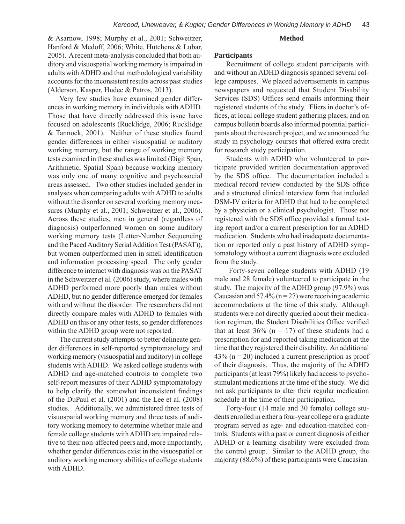#### **Method**

& Asarnow, 1998; Murphy et al., 2001; Schweitzer, Hanford & Medoff, 2006; White, Hutchens & Lubar, 2005). A recent meta-analysis concluded that both auditory and visuospatial working memory is impaired in adults with ADHD and that methodological variability accounts for the inconsistent results across past studies (Alderson, Kasper, Hudec & Patros, 2013).

Very few studies have examined gender differences in working memory in individuals with ADHD. Those that have directly addressed this issue have focused on adolescents (Rucklidge, 2006; Rucklidge & Tannock, 2001). Neither of these studies found gender differences in either visuospatial or auditory working memory, but the range of working memory tests examined in these studies was limited (Digit Span, Arithmetic, Spatial Span) because working memory was only one of many cognitive and psychosocial areas assessed. Two other studies included gender in analyses when comparing adults with ADHD to adults without the disorder on several working memory measures (Murphy et al., 2001; Schweitzer et al., 2006). Across these studies, men in general (regardless of diagnosis) outperformed women on some auditory working memory tests (Letter-Number Sequencing and the Paced Auditory Serial Addition Test (PASAT)), but women outperformed men in smell identification and information processing speed. The only gender difference to interact with diagnosis was on the PASAT in the Schweitzer et al. (2006) study, where males with ADHD performed more poorly than males without ADHD, but no gender difference emerged for females with and without the disorder. The researchers did not directly compare males with ADHD to females with ADHD on this or any other tests, so gender differences within the ADHD group were not reported.

The current study attempts to better delineate gender differences in self-reported symptomatology and working memory (visuospatial and auditory) in college students with ADHD. We asked college students with ADHD and age-matched controls to complete two self-report measures of their ADHD symptomatology to help clarify the somewhat inconsistent findings of the DuPaul et al. (2001) and the Lee et al. (2008) studies. Additionally, we administered three tests of visuospatial working memory and three tests of auditory working memory to determine whether male and female college students with ADHD are impaired relative to their non-affected peers and, more importantly, whether gender differences exist in the visuospatial or auditory working memory abilities of college students with ADHD.

# **Participants**

Recruitment of college student participants with and without an ADHD diagnosis spanned several college campuses. We placed advertisements in campus newspapers and requested that Student Disability Services (SDS) Offices send emails informing their registered students of the study. Fliers in doctor's offices, at local college student gathering places, and on campus bulletin boards also informed potential participants about the research project, and we announced the study in psychology courses that offered extra credit for research study participation.

Students with ADHD who volunteered to participate provided written documentation approved by the SDS office. The documentation included a medical record review conducted by the SDS office and a structured clinical interview form that included DSM-IV criteria for ADHD that had to be completed by a physician or a clinical psychologist. Those not registered with the SDS office provided a formal testing report and/or a current prescription for an ADHD medication. Students who had inadequate documentation or reported only a past history of ADHD symptomatology without a current diagnosis were excluded from the study.

 Forty-seven college students with ADHD (19 male and 28 female) volunteered to participate in the study. The majority of the ADHD group (97.9%) was Caucasian and  $57.4\%$  (n = 27) were receiving academic accommodations at the time of this study. Although students were not directly queried about their medication regimen, the Student Disabilities Office verified that at least  $36\%$  (n = 17) of these students had a prescription for and reported taking medication at the time that they registered their disability. An additional  $43\%$  (n = 20) included a current prescription as proof of their diagnosis. Thus, the majority of the ADHD participants (at least 79%) likely had access to psychostimulant medications at the time of the study. We did not ask participants to alter their regular medication schedule at the time of their participation.

Forty-four (14 male and 30 female) college students enrolled in either a four-year college or a graduate program served as age- and education-matched controls. Students with a past or current diagnosis of either ADHD or a learning disability were excluded from the control group. Similar to the ADHD group, the majority (88.6%) of these participants were Caucasian.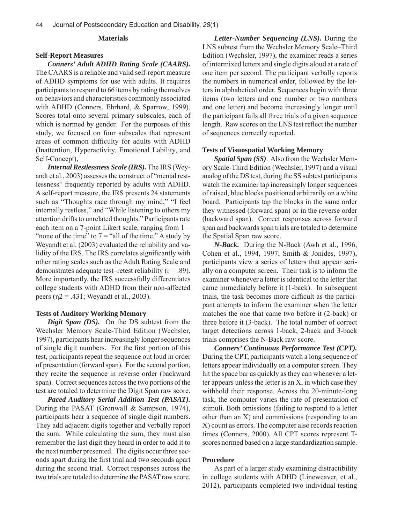# **Materials**

# **Self-Report Measures**

*Conners' Adult ADHD Rating Scale (CAARS).*  The CAARS is a reliable and valid self-report measure of ADHD symptoms for use with adults. It requires participants to respond to 66 items by rating themselves on behaviors and characteristics commonly associated with ADHD (Conners, Ehrhard, & Sparrow, 1999). Scores total onto several primary subscales, each of which is normed by gender. For the purposes of this study, we focused on four subscales that represent areas of common difficulty for adults with ADHD (Inattention, Hyperactivity, Emotional Lability, and Self-Concept),

*Internal Restlessness Scale (IRS).* The IRS (Weyandt et al., 2003) assesses the construct of "mental restlessness" frequently reported by adults with ADHD. A self-report measure, the IRS presents 24 statements such as "Thoughts race through my mind," "I feel internally restless," and "While listening to others my attention drifts to unrelated thoughts." Participants rate each item on a 7-point Likert scale, ranging from  $1 =$ "none of the time" to  $7 =$  "all of the time." A study by Weyandt et al. (2003) evaluated the reliability and validity of the IRS. The IRS correlates significantly with other rating scales such as the Adult Rating Scale and demonstrates adequate test–retest reliability  $(r = .89)$ . More importantly, the IRS successfully differentiates college students with ADHD from their non-affected peers ( $η$ 2 = .431; Weyandt et al., 2003).

# **Tests of Auditory Working Memory**

*Digit Span (DS).* On the DS subtest from the Wechsler Memory Scale-Third Edition (Wechsler, 1997), participants hear increasingly longer sequences of single digit numbers. For the first portion of this test, participants repeat the sequence out loud in order of presentation (forward span). For the second portion, they recite the sequence in reverse order (backward span). Correct sequences across the two portions of the test are totaled to determine the Digit Span raw score.

*Paced Auditory Serial Addition Test (PASAT).*  During the PASAT (Gronwall & Sampson, 1974), participants hear a sequence of single digit numbers. They add adjacent digits together and verbally report the sum. While calculating the sum, they must also remember the last digit they heard in order to add it to the next number presented. The digits occur three seconds apart during the first trial and two seconds apart during the second trial. Correct responses across the two trials are totaled to determine the PASAT raw score.

*Letter-Number Sequencing (LNS).* During the LNS subtest from the Wechsler Memory Scale–Third Edition (Wechsler, 1997), the examiner reads a series of intermixed letters and single digits aloud at a rate of one item per second. The participant verbally reports the numbers in numerical order, followed by the letters in alphabetical order. Sequences begin with three items (two letters and one number or two numbers and one letter) and become increasingly longer until the participant fails all three trials of a given sequence length. Raw scores on the LNS test reflect the number of sequences correctly reported.

#### **Tests of Visuospatial Working Memory**

*Spatial Span (SS)*. Also from the Wechsler Memory Scale-Third Edition (Wechsler, 1997) and a visual analog of the DS test, during the SS subtest participants watch the examiner tap increasingly longer sequences of raised, blue blocks positioned arbitrarily on a white board. Participants tap the blocks in the same order they witnessed (forward span) or in the reverse order (backward span). Correct responses across forward span and backwards span trials are totaled to determine the Spatial Span raw score.

*N-Back.* During the N-Back (Awh et al., 1996, Cohen et al., 1994, 1997; Smith & Jonides, 1997), participants view a series of letters that appear serially on a computer screen. Their task is to inform the examiner whenever a letter is identical to the letter that came immediately before it (1-back). In subsequent trials, the task becomes more difficult as the participant attempts to inform the examiner when the letter matches the one that came two before it (2-back) or three before it (3-back). The total number of correct target detections across 1-back, 2-back and 3-back trials comprises the N-Back raw score.

*Conners' Continuous Performance Test (CPT).*  During the CPT, participants watch a long sequence of letters appear individually on a computer screen. They hit the space bar as quickly as they can whenever a letter appears unless the letter is an X, in which case they withhold their response. Across the 20-minute-long task, the computer varies the rate of presentation of stimuli. Both omissions (failing to respond to a letter other than an X) and commissions (responding to an X) count as errors. The computer also records reaction times (Conners, 2000). All CPT scores represent Tscores normed based on a large standardization sample.

# **Procedure**

As part of a larger study examining distractibility in college students with ADHD (Lineweaver, et al., 2012), participants completed two individual testing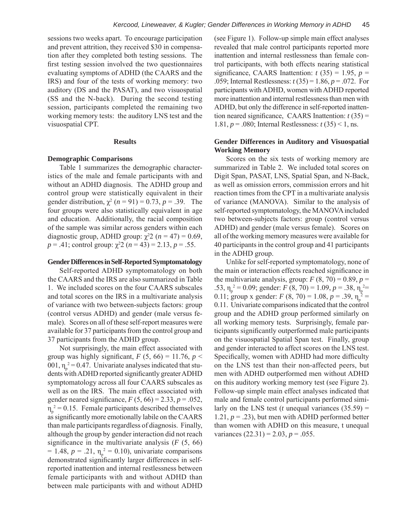sessions two weeks apart. To encourage participation and prevent attrition, they received \$30 in compensation after they completed both testing sessions. The first testing session involved the two questionnaires evaluating symptoms of ADHD (the CAARS and the IRS) and four of the tests of working memory: two auditory (DS and the PASAT), and two visuospatial (SS and the N-back). During the second testing session, participants completed the remaining two working memory tests: the auditory LNS test and the visuospatial CPT.

# **Results**

# **Demographic Comparisons**

Table 1 summarizes the demographic characteristics of the male and female participants with and without an ADHD diagnosis. The ADHD group and control group were statistically equivalent in their gender distribution,  $\chi^2$  ( $n = 91$ ) = 0.73,  $p = .39$ . The four groups were also statistically equivalent in age and education. Additionally, the racial composition of the sample was similar across genders within each diagnostic group, ADHD group:  $\chi^2$ 2 (*n* = 47) = 0.69,  $p = .41$ ; control group:  $\chi^2 2$  ( $n = 43$ ) = 2.13,  $p = .55$ .

# **Gender Differences in Self-Reported Symptomatology**

Self-reported ADHD symptomatology on both the CAARS and the IRS are also summarized in Table 1. We included scores on the four CAARS subscales and total scores on the IRS in a multivariate analysis of variance with two between-subjects factors: group (control versus ADHD) and gender (male versus female). Scores on all of these self-report measures were available for 37 participants from the control group and 37 participants from the ADHD group.

Not surprisingly, the main effect associated with group was highly significant,  $F$  (5, 66) = 11.76,  $p$  < 001,  $\eta_p^2 = 0.47$ . Univariate analyses indicated that students with ADHD reported significantly greater ADHD symptomatology across all four CAARS subscales as well as on the IRS. The main effect associated with gender neared significance,  $F(5, 66) = 2.33, p = .052,$  $\eta_p^2$  = 0.15. Female participants described themselves as significantly more emotionally labile on the CAARS than male participants regardless of diagnosis. Finally, although the group by gender interaction did not reach significance in the multivariate analysis  $(F(5, 66))$  $= 1.48, p = .21, \eta_p^2 = 0.10$ , univariate comparisons demonstrated significantly larger differences in selfreported inattention and internal restlessness between female participants with and without ADHD than between male participants with and without ADHD

(see Figure 1). Follow-up simple main effect analyses revealed that male control participants reported more inattention and internal restlessness than female control participants, with both effects nearing statistical significance, CAARS Inattention:  $t(35) = 1.95$ ,  $p =$ .059; Internal Restlessness: *t* (35) = 1.86, *p* = .072. For participants with ADHD, women with ADHD reported more inattention and internal restlessness than men with ADHD, but only the difference in self-reported inattention neared significance, CAARS Inattention:  $t(35)$  = 1.81, *p* = .080; Internal Restlessness: *t* (35) < 1, ns.

# **Gender Differences in Auditory and Visuospatial Working Memory**

Scores on the six tests of working memory are summarized in Table 2. We included total scores on Digit Span, PASAT, LNS, Spatial Span, and N-Back, as well as omission errors, commission errors and hit reaction times from the CPT in a multivariate analysis of variance (MANOVA). Similar to the analysis of self-reported symptomatology, the MANOVA included two between-subjects factors: group (control versus ADHD) and gender (male versus female). Scores on all of the working memory measures were available for 40 participants in the control group and 41 participants in the ADHD group.

Unlike for self-reported symptomatology, none of the main or interaction effects reached significance in the multivariate analysis, group:  $F(8, 70) = 0.89$ ,  $p =$ .53,  $\eta_p^2 = 0.09$ ; gender: *F* (8, 70) = 1.09, *p* = .38,  $\eta_p^2 =$ 0.11; group x gender:  $F(8, 70) = 1.08$ ,  $p = .39$ ,  $\eta_p^2 =$ 0.11. Univariate comparisons indicated that the control group and the ADHD group performed similarly on all working memory tests. Surprisingly, female participants significantly outperformed male participants on the visuospatial Spatial Span test. Finally, group and gender interacted to affect scores on the LNS test. Specifically, women with ADHD had more difficulty on the LNS test than their non-affected peers, but men with ADHD outperformed men without ADHD on this auditory working memory test (see Figure 2). Follow-up simple main effect analyses indicated that male and female control participants performed similarly on the LNS test (*t* unequal variances  $(35.59)$  = 1.21,  $p = .23$ ), but men with ADHD performed better than women with ADHD on this measure, t unequal variances  $(22.31) = 2.03$ ,  $p = .055$ .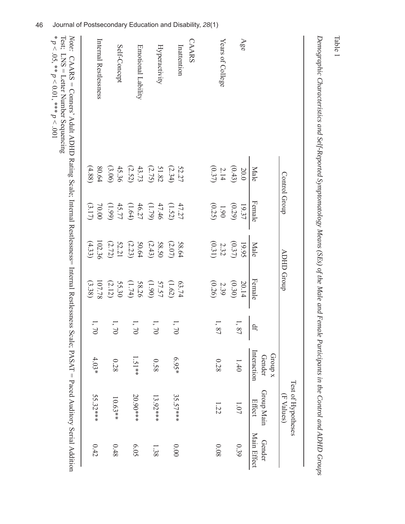|        |                                                                                                  |                                                                                   |                                                                              |                                                                              |                                                                                                                 | (F Values)                                                     |                                                                                                                         |
|--------|--------------------------------------------------------------------------------------------------|-----------------------------------------------------------------------------------|------------------------------------------------------------------------------|------------------------------------------------------------------------------|-----------------------------------------------------------------------------------------------------------------|----------------------------------------------------------------|-------------------------------------------------------------------------------------------------------------------------|
|        |                                                                                                  |                                                                                   |                                                                              |                                                                              | <b>Group</b> x<br>Gender                                                                                        |                                                                | Gender                                                                                                                  |
| Male   | Female                                                                                           | Male                                                                              | Female                                                                       | $\overline{\mathbb{H}}$                                                      | Interaction                                                                                                     | Effect                                                         | Main Effect                                                                                                             |
| 20.0   | 19.37                                                                                            | 19.95                                                                             | 20.14                                                                        |                                                                              |                                                                                                                 |                                                                |                                                                                                                         |
|        |                                                                                                  |                                                                                   |                                                                              |                                                                              |                                                                                                                 |                                                                | 0.39                                                                                                                    |
|        | $1.90\,$                                                                                         |                                                                                   |                                                                              |                                                                              |                                                                                                                 |                                                                |                                                                                                                         |
|        | (0.25)                                                                                           | (0.31)                                                                            | (0.26)                                                                       |                                                                              |                                                                                                                 |                                                                | 80.0                                                                                                                    |
|        |                                                                                                  |                                                                                   |                                                                              |                                                                              |                                                                                                                 |                                                                |                                                                                                                         |
|        | 47.27                                                                                            | 58.64                                                                             | 63.74                                                                        |                                                                              |                                                                                                                 |                                                                |                                                                                                                         |
| (2.34) |                                                                                                  | (2.07)                                                                            | (1.62)                                                                       |                                                                              |                                                                                                                 |                                                                | $00.00$                                                                                                                 |
|        |                                                                                                  | 58.50                                                                             |                                                                              |                                                                              |                                                                                                                 |                                                                |                                                                                                                         |
|        |                                                                                                  |                                                                                   | $(06)$                                                                       |                                                                              |                                                                                                                 |                                                                | 1.38                                                                                                                    |
|        |                                                                                                  |                                                                                   | 58.26                                                                        |                                                                              |                                                                                                                 |                                                                |                                                                                                                         |
|        |                                                                                                  |                                                                                   |                                                                              |                                                                              |                                                                                                                 |                                                                | 6.05                                                                                                                    |
|        |                                                                                                  |                                                                                   |                                                                              |                                                                              |                                                                                                                 |                                                                |                                                                                                                         |
|        |                                                                                                  |                                                                                   |                                                                              |                                                                              |                                                                                                                 |                                                                | $0.48\,$                                                                                                                |
| 80.64  |                                                                                                  |                                                                                   |                                                                              |                                                                              |                                                                                                                 |                                                                |                                                                                                                         |
| (4.88) | (3.17)                                                                                           | (4.33)                                                                            | (3.38)                                                                       |                                                                              |                                                                                                                 |                                                                | 0.42                                                                                                                    |
|        | $(0.43)$<br>$2.14$<br>$(0.37)$<br>45.36<br>43.73<br>(3.06)<br>(2.75)<br>51.82<br>52.27<br>(2.52) | Control Group<br>(0.29)<br>(66)<br>(1.64)<br>(1.79)<br>(1.52)<br>47.46<br>$70.00$ | 102.36<br>$(0.37)$<br>$2.32$<br>52.21<br>50.64<br>(2.43)<br>(2.72)<br>(2.23) | ADHD Group<br>(0.30)<br>107.78<br>(2.12)<br>55.30<br>(1.74)<br>57.57<br>2.39 | $\overline{\phantom{a}}$<br>Ξ,<br>$\Omega$<br>$\sum$<br>$\gamma$<br>$\Omega$<br>$\gtrsim$<br>$^{22}$<br>$^{22}$ | $4.03*$<br>$1.51**$<br>$6.95*$<br>0.28<br>0.58<br>0.28<br>1.40 | Test of Hypotheses<br>Group Main<br>20.90***<br>35.57***<br>55.32***<br>$13.92***$<br>10.63**<br>1.07<br>$\frac{1}{22}$ |

Demographic Characteristics and Self-Reported Symptomatology Means (SEs) of the Male and Female Participants in the Control and ADHD Groups *Demographic Characteristics and Self-Reported Symptomatology Means (SEs) of the Male and Female Participants in the Control and ADHD Groups*

Table 1

46Journal of Postsecondary Education and Disability, *28*(1)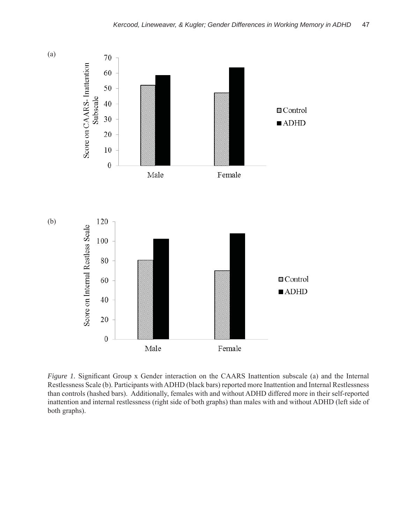

*Figure 1.* Significant Group x Gender interaction on the CAARS Inattention subscale (a) and the Internal Restlessness Scale (b). Participants with ADHD (black bars) reported more Inattention and Internal Restlessness than controls (hashed bars). Additionally, females with and without ADHD differed more in their self-reported inattention and internal restlessness (right side of both graphs) than males with and without ADHD (left side of both graphs).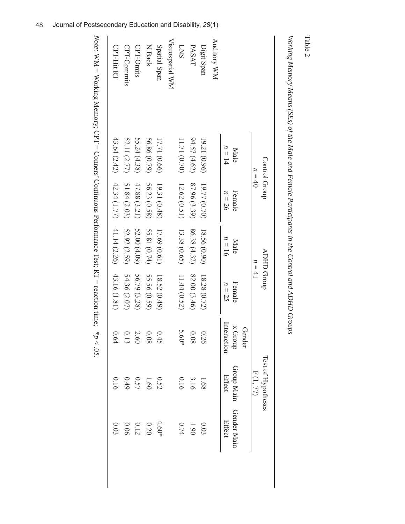|                                  | Control Group<br>$n=40$ |                                                         |              | ADHD Group<br>$n = 41$ |             | Test of Hypotheses<br>F(1, 77) |                 |
|----------------------------------|-------------------------|---------------------------------------------------------|--------------|------------------------|-------------|--------------------------------|-----------------|
|                                  |                         |                                                         |              |                        | Gender      |                                |                 |
|                                  | Male                    | Female                                                  | Male         | Female                 | x Group     | Group Main                     | Gender Main     |
|                                  | $n = 14$                | $n=26$                                                  | $n = 16$     | $n = 25$               | Interaction | Effect                         | Effect          |
| <b>Auditory WM</b>               |                         |                                                         |              |                        |             |                                |                 |
| Digit Span                       | 19.21(0.96)             | 19.77 (0.70)                                            | 18.56 (0.90) | 18.28 (0.72)           | 0.26        | 1.68                           | 0.03            |
| PASAT                            | 94.57(4.62)             | 87.96 (3.39)                                            | 86.38 (4.32) | 82.00 (3.46)           | 80.0        | 3.16                           | 06 <sup>1</sup> |
| <b>LNS</b>                       | 11.71 (0.70)            | 12.62 (0.51)                                            | 13.38 (0.65) | 11.44(0.52)            | 5.60*       | 0.16                           | 0.74            |
| <b>MM</b> lengdsons <sub>I</sub> |                         |                                                         |              |                        |             |                                |                 |
| Spatial Span                     | 17.71 (0.66)            | 19.31 (0.48)                                            | 17.69 (0.61) | 18.52(0.49)            | 0.45        | 0.52                           | $4.60*$         |
| N Back                           | 56.86 (0.79)            | 56.23 (0.58)                                            | 55.81 (0.74) | 55.56 (0.59)           | 80.0        | 1.60                           | $0.20\,$        |
| CPT-Omits                        | 55.24(4.38)             | 47.88 (3.21)                                            | 52.00 (4.09) | 56.79 (3.28)           | 2.60        | 0.57                           | $0.12\,$        |
| CPT-Commits                      | 52.11 (2.77)            | 51.84 (2.03)                                            | 52.92 (2.59) | 54.36 (2.07)           | 0.13        | $6+0$                          | 90.0            |
| CPT-Hit RT                       |                         | $43.64(2.42)$ $42.34(1.77)$ $41.14(2.26)$ $43.16(1.81)$ |              |                        | 0.64        | 0.16                           | 0.03            |

Warbino M. *Working Memory Means (SEs) of the Male and Female Participants in the Control and ADHD Groups* ž  $( \nabla F_{\sigma} \mid \rho f \thinspace_{tha}$  $M_{AII}$  $\overline{H}$ J ţ Ś  $\tilde{z}$  $\sqrt{A\,D\,H\,D\,C\,r\,D\,r}$  Table 2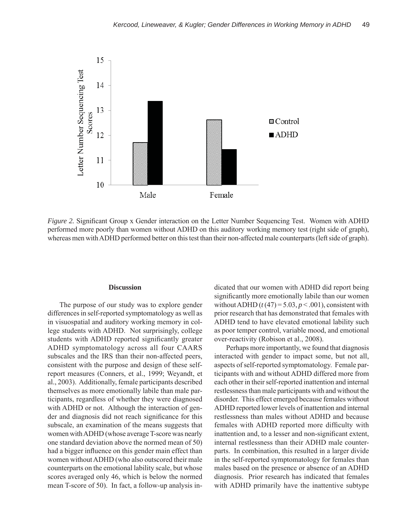

*Figure 2.* Significant Group x Gender interaction on the Letter Number Sequencing Test. Women with ADHD performed more poorly than women without ADHD on this auditory working memory test (right side of graph), whereas men with ADHD performed better on this test than their non-affected male counterparts (left side of graph).

## **Discussion**

The purpose of our study was to explore gender differences in self-reported symptomatology as well as in visuospatial and auditory working memory in college students with ADHD. Not surprisingly, college students with ADHD reported significantly greater ADHD symptomatology across all four CAARS subscales and the IRS than their non-affected peers, consistent with the purpose and design of these selfreport measures (Conners, et al., 1999; Weyandt, et al., 2003). Additionally, female participants described themselves as more emotionally labile than male participants, regardless of whether they were diagnosed with ADHD or not. Although the interaction of gender and diagnosis did not reach significance for this subscale, an examination of the means suggests that women with ADHD (whose average T-score was nearly one standard deviation above the normed mean of 50) had a bigger influence on this gender main effect than women without ADHD (who also outscored their male counterparts on the emotional lability scale, but whose scores averaged only 46, which is below the normed mean T-score of 50). In fact, a follow-up analysis in-

dicated that our women with ADHD did report being significantly more emotionally labile than our women without ADHD  $(t(47) = 5.03, p < .001)$ , consistent with prior research that has demonstrated that females with ADHD tend to have elevated emotional lability such as poor temper control, variable mood, and emotional over-reactivity (Robison et al., 2008).

Perhaps more importantly, we found that diagnosis interacted with gender to impact some, but not all, aspects of self-reported symptomatology. Female participants with and without ADHD differed more from each other in their self-reported inattention and internal restlessness than male participants with and without the disorder. This effect emerged because females without ADHD reported lower levels of inattention and internal restlessness than males without ADHD and because females with ADHD reported more difficulty with inattention and, to a lesser and non-significant extent, internal restlessness than their ADHD male counterparts. In combination, this resulted in a larger divide in the self-reported symptomatology for females than males based on the presence or absence of an ADHD diagnosis. Prior research has indicated that females with ADHD primarily have the inattentive subtype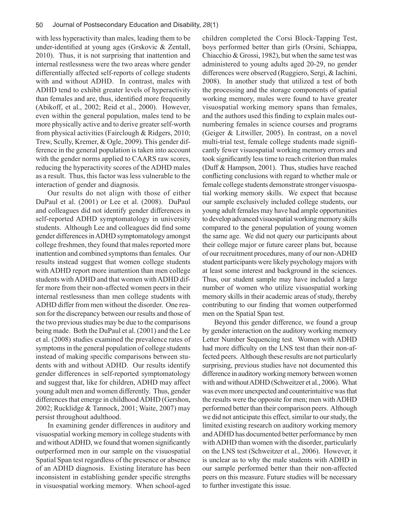with less hyperactivity than males, leading them to be under-identified at young ages (Grskovic  $& Zental$ ), 2010). Thus, it is not surprising that inattention and internal restlessness were the two areas where gender differentially affected self-reports of college students with and without ADHD. In contrast, males with ADHD tend to exhibit greater levels of hyperactivity than females and are, thus, identified more frequently (Abikoff, et al., 2002; Reid et al., 2000). However, even within the general population, males tend to be more physically active and to derive greater self-worth from physical activities (Fairclough & Ridgers, 2010; Trew, Scully, Kremer, & Ogle, 2009). This gender difference in the general population is taken into account with the gender norms applied to CAARS raw scores, reducing the hyperactivity scores of the ADHD males as a result. Thus, this factor was less vulnerable to the interaction of gender and diagnosis.

Our results do not align with those of either DuPaul et al. (2001) or Lee et al. (2008). DuPaul and colleagues did not identify gender differences in self-reported ADHD symptomatology in university students. Although Lee and colleagues did find some gender differences in ADHD symptomatology amongst college freshmen, they found that males reported more inattention and combined symptoms than females. Our results instead suggest that women college students with ADHD report more inattention than men college students with ADHD and that women with ADHD differ more from their non-affected women peers in their internal restlessness than men college students with ADHD differ from men without the disorder. One reason for the discrepancy between our results and those of the two previous studies may be due to the comparisons being made. Both the DuPaul et al. (2001) and the Lee et al. (2008) studies examined the prevalence rates of symptoms in the general population of college students instead of making specific comparisons between students with and without ADHD. Our results identify gender differences in self-reported symptomatology and suggest that, like for children, ADHD may affect young adult men and women differently. Thus, gender differences that emerge in childhood ADHD (Gershon, 2002; Rucklidge & Tannock, 2001; Waite, 2007) may persist throughout adulthood.

In examining gender differences in auditory and visuospatial working memory in college students with and without ADHD, we found that women significantly outperformed men in our sample on the visuospatial Spatial Span test regardless of the presence or absence of an ADHD diagnosis. Existing literature has been inconsistent in establishing gender specific strengths in visuospatial working memory. When school-aged children completed the Corsi Block-Tapping Test, boys performed better than girls (Orsini, Schiappa, Chiacchio & Grossi, 1982), but when the same test was administered to young adults aged 20-29, no gender differences were observed (Ruggiero, Sergi, & Iachini, 2008). In another study that utilized a test of both the processing and the storage components of spatial working memory, males were found to have greater visuospatial working memory spans than females, and the authors used this finding to explain males outnumbering females in science courses and programs (Geiger & Litwiller, 2005). In contrast, on a novel multi-trial test, female college students made significantly fewer visuospatial working memory errors and took significantly less time to reach criterion than males (Duff & Hampson, 2001). Thus, studies have reached conflicting conclusions with regard to whether male or female college students demonstrate stronger visuospatial working memory skills. We expect that because our sample exclusively included college students, our young adult females may have had ample opportunities to develop advanced visuospatial working memory skills compared to the general population of young women the same age. We did not query our participants about their college major or future career plans but, because of our recruitment procedures, many of our non-ADHD student participants were likely psychology majors with at least some interest and background in the sciences. Thus, our student sample may have included a large number of women who utilize visuospatial working memory skills in their academic areas of study, thereby contributing to our finding that women outperformed men on the Spatial Span test.

Beyond this gender difference, we found a group by gender interaction on the auditory working memory Letter Number Sequencing test. Women with ADHD had more difficulty on the LNS test than their non-affected peers. Although these results are not particularly surprising, previous studies have not documented this difference in auditory working memory between women with and without ADHD (Schweitzer et al., 2006). What was even more unexpected and counterintuitive was that the results were the opposite for men; men with ADHD performed better than their comparison peers. Although we did not anticipate this effect, similar to our study, the limited existing research on auditory working memory and ADHD has documented better performance by men with ADHD than women with the disorder, particularly on the LNS test (Schweitzer et al., 2006). However, it is unclear as to why the male students with ADHD in our sample performed better than their non-affected peers on this measure. Future studies will be necessary to further investigate this issue.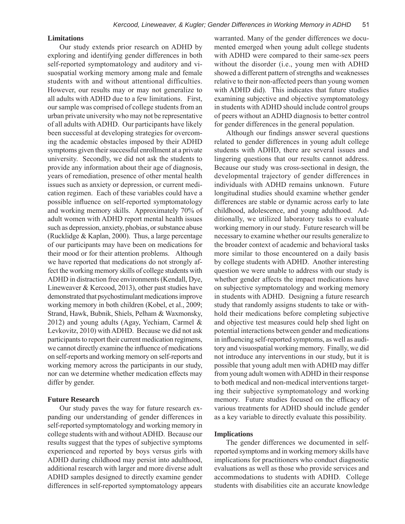### **Limitations**

Our study extends prior research on ADHD by exploring and identifying gender differences in both self-reported symptomatology and auditory and visuospatial working memory among male and female students with and without attentional difficulties. However, our results may or may not generalize to all adults with ADHD due to a few limitations. First, our sample was comprised of college students from an urban private university who may not be representative of all adults with ADHD. Our participants have likely been successful at developing strategies for overcoming the academic obstacles imposed by their ADHD symptoms given their successful enrollment at a private university. Secondly, we did not ask the students to provide any information about their age of diagnosis, years of remediation, presence of other mental health issues such as anxiety or depression, or current medication regimen. Each of these variables could have a possible influence on self-reported symptomatology and working memory skills. Approximately 70% of adult women with ADHD report mental health issues such as depression, anxiety, phobias, or substance abuse (Rucklidge & Kaplan, 2000). Thus, a large percentage of our participants may have been on medications for their mood or for their attention problems. Although we have reported that medications do not strongly affect the working memory skills of college students with ADHD in distraction free environments (Kendall, Dye, Lineweaver & Kercood, 2013), other past studies have demonstrated that psychostimulant medications improve working memory in both children (Kobel, et al., 2009; Strand, Hawk, Bubnik, Shiels, Pelham & Waxmonsky, 2012) and young adults (Agay, Yechiam, Carmel & Levkovitz, 2010) with ADHD. Because we did not ask participants to report their current medication regimens, we cannot directly examine the influence of medications on self-reports and working memory on self-reports and working memory across the participants in our study, nor can we determine whether medication effects may differ by gender.

# **Future Research**

Our study paves the way for future research expanding our understanding of gender differences in self-reported symptomatology and working memory in college students with and without ADHD. Because our results suggest that the types of subjective symptoms experienced and reported by boys versus girls with ADHD during childhood may persist into adulthood, additional research with larger and more diverse adult ADHD samples designed to directly examine gender differences in self-reported symptomatology appears

warranted. Many of the gender differences we documented emerged when young adult college students with ADHD were compared to their same-sex peers without the disorder (i.e., young men with ADHD showed a different pattern of strengths and weaknesses relative to their non-affected peers than young women with ADHD did). This indicates that future studies examining subjective and objective symptomatology in students with ADHD should include control groups of peers without an ADHD diagnosis to better control for gender differences in the general population.

Although our findings answer several questions related to gender differences in young adult college students with ADHD, there are several issues and lingering questions that our results cannot address. Because our study was cross-sectional in design, the developmental trajectory of gender differences in individuals with ADHD remains unknown. Future longitudinal studies should examine whether gender differences are stable or dynamic across early to late childhood, adolescence, and young adulthood. Additionally, we utilized laboratory tasks to evaluate working memory in our study. Future research will be necessary to examine whether our results generalize to the broader context of academic and behavioral tasks more similar to those encountered on a daily basis by college students with ADHD. Another interesting question we were unable to address with our study is whether gender affects the impact medications have on subjective symptomatology and working memory in students with ADHD. Designing a future research study that randomly assigns students to take or withhold their medications before completing subjective and objective test measures could help shed light on potential interactions between gender and medications in influencing self-reported symptoms, as well as auditory and visuospatial working memory. Finally, we did not introduce any interventions in our study, but it is possible that young adult men with ADHD may differ from young adult women with ADHD in their response to both medical and non-medical interventions targeting their subjective symptomatology and working memory. Future studies focused on the efficacy of various treatments for ADHD should include gender as a key variable to directly evaluate this possibility.

#### **Implications**

The gender differences we documented in selfreported symptoms and in working memory skills have implications for practitioners who conduct diagnostic evaluations as well as those who provide services and accommodations to students with ADHD. College students with disabilities cite an accurate knowledge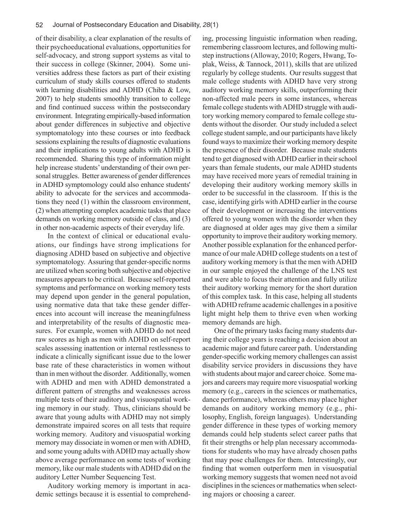of their disability, a clear explanation of the results of their psychoeducational evaluations, opportunities for self-advocacy, and strong support systems as vital to their success in college (Skinner, 2004). Some universities address these factors as part of their existing curriculum of study skills courses offered to students with learning disabilities and ADHD (Chiba & Low, 2007) to help students smoothly transition to college and find continued success within the postsecondary environment. Integrating empirically-based information about gender differences in subjective and objective symptomatology into these courses or into feedback sessions explaining the results of diagnostic evaluations and their implications to young adults with ADHD is recommended. Sharing this type of information might help increase students' understanding of their own personal struggles. Better awareness of gender differences in ADHD symptomology could also enhance students' ability to advocate for the services and accommodations they need (1) within the classroom environment, (2) when attempting complex academic tasks that place demands on working memory outside of class, and (3) in other non-academic aspects of their everyday life.

In the context of clinical or educational evaluations, our findings have strong implications for diagnosing ADHD based on subjective and objective symptomatology. Assuring that gender-specific norms are utilized when scoring both subjective and objective measures appears to be critical. Because self-reported symptoms and performance on working memory tests may depend upon gender in the general population, using normative data that take these gender differences into account will increase the meaningfulness and interpretability of the results of diagnostic measures. For example, women with ADHD do not need raw scores as high as men with ADHD on self-report scales assessing inattention or internal restlessness to indicate a clinically significant issue due to the lower base rate of these characteristics in women without than in men without the disorder. Additionally, women with ADHD and men with ADHD demonstrated a different pattern of strengths and weaknesses across multiple tests of their auditory and visuospatial working memory in our study. Thus, clinicians should be aware that young adults with ADHD may not simply demonstrate impaired scores on all tests that require working memory. Auditory and visuospatial working memory may dissociate in women or men with ADHD, and some young adults with ADHD may actually show above average performance on some tests of working memory, like our male students with ADHD did on the auditory Letter Number Sequencing Test.

Auditory working memory is important in academic settings because it is essential to comprehending, processing linguistic information when reading, remembering classroom lectures, and following multistep instructions (Alloway, 2010; Rogers, Hwang, Toplak, Weiss, & Tannock, 2011), skills that are utilized regularly by college students. Our results suggest that male college students with ADHD have very strong auditory working memory skills, outperforming their non-affected male peers in some instances, whereas female college students with ADHD struggle with auditory working memory compared to female college students without the disorder. Our study included a select college student sample, and our participants have likely found ways to maximize their working memory despite the presence of their disorder. Because male students tend to get diagnosed with ADHD earlier in their school years than female students, our male ADHD students may have received more years of remedial training in developing their auditory working memory skills in order to be successful in the classroom. If this is the case, identifying girls with ADHD earlier in the course of their development or increasing the interventions offered to young women with the disorder when they are diagnosed at older ages may give them a similar opportunity to improve their auditory working memory. Another possible explanation for the enhanced performance of our male ADHD college students on a test of auditory working memory is that the men with ADHD in our sample enjoyed the challenge of the LNS test and were able to focus their attention and fully utilize their auditory working memory for the short duration of this complex task. In this case, helping all students with ADHD reframe academic challenges in a positive light might help them to thrive even when working memory demands are high.

One of the primary tasks facing many students during their college years is reaching a decision about an academic major and future career path. Understanding gender-specific working memory challenges can assist disability service providers in discussions they have with students about major and career choice. Some majors and careers may require more visuospatial working memory (e.g., careers in the sciences or mathematics, dance performance), whereas others may place higher demands on auditory working memory (e.g., philosophy, English, foreign languages). Understanding gender difference in these types of working memory demands could help students select career paths that fit their strengths or help plan necessary accommodations for students who may have already chosen paths that may pose challenges for them. Interestingly, our finding that women outperform men in visuospatial working memory suggests that women need not avoid disciplines in the sciences or mathematics when selecting majors or choosing a career.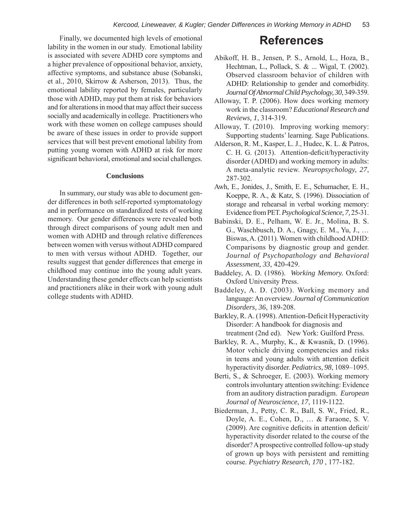Finally, we documented high levels of emotional lability in the women in our study. Emotional lability is associated with severe ADHD core symptoms and a higher prevalence of oppositional behavior, anxiety, affective symptoms, and substance abuse (Sobanski, et al., 2010, Skirrow & Asherson, 2013). Thus, the emotional lability reported by females, particularly those with ADHD, may put them at risk for behaviors and for alterations in mood that may affect their success socially and academically in college. Practitioners who work with these women on college campuses should be aware of these issues in order to provide support services that will best prevent emotional lability from putting young women with ADHD at risk for more significant behavioral, emotional and social challenges.

# **Conclusions**

In summary, our study was able to document gender differences in both self-reported symptomatology and in performance on standardized tests of working memory. Our gender differences were revealed both through direct comparisons of young adult men and women with ADHD and through relative differences between women with versus without ADHD compared to men with versus without ADHD. Together, our results suggest that gender differences that emerge in childhood may continue into the young adult years. Understanding these gender effects can help scientists and practitioners alike in their work with young adult college students with ADHD.

# **References**

- Abikoff, H. B., Jensen, P. S., Arnold, L., Hoza, B., Hechtman, L., Pollack, S. & ... Wigal, T. (2002). Observed classroom behavior of children with ADHD: Relationship to gender and comorbidity. *Journal Of Abnormal Child Psychology, 30*, 349-359.
- Alloway, T. P. (2006). How does working memory work in the classroom? *Educational Research and Reviews, 1*, 314-319.
- Alloway, T. (2010). Improving working memory: Supporting students' learning. Sage Publications.
- Alderson, R. M., Kasper, L. J., Hudec, K. L. & Patros, C. H. G. (2013). Attention-deficit/hyperactivity disorder (ADHD) and working memory in adults: A meta-analytic review. *Neuropsychology, 27*, 287-302.
- Awh, E., Jonides, J., Smith, E. E., Schumacher, E. H., Koeppe, R. A., & Katz, S. (1996). Dissociation of storage and rehearsal in verbal working memory: Evidence from PET. *Psychological Science, 7,* 25-31.
- Babinski, D. E., Pelham, W. E. Jr., Molina, B. S. G., Waschbusch, D. A., Gnagy, E. M., Yu, J., … Biswas, A. (2011). Women with childhood ADHD: Comparisons by diagnostic group and gender. *Journal of Psychopathology and Behavioral Assessment, 33*, 420-429.
- Baddeley, A. D. (1986). *Working Memory.* Oxford: Oxford University Press.
- Baddeley, A. D. (2003). Working memory and language: An overview. *Journal of Communication Disorders, 36*, 189-208.
- Barkley, R. A. (1998). Attention-Deficit Hyperactivity Disorder: A handbook for diagnosis and treatment (2nd ed). New York: Guilford Press.
- Barkley, R. A., Murphy, K., & Kwasnik, D. (1996). Motor vehicle driving competencies and risks in teens and young adults with attention deficit hyperactivity disorder. *Pediatrics, 98*, 1089–1095.
- Berti, S., & Schroeger, E. (2003). Working memory controls involuntary attention switching: Evidence from an auditory distraction paradigm. *European Journal of Neuroscience, 17*, 1119-1122.
- Biederman, J., Petty, C. R., Ball, S. W., Fried, R., Doyle, A. E., Cohen, D., … & Faraone, S. V.  $(2009)$ . Are cognitive deficits in attention deficit/ hyperactivity disorder related to the course of the disorder? A prospective controlled follow-up study of grown up boys with persistent and remitting course. *Psychiatry Research, 170* , 177-182.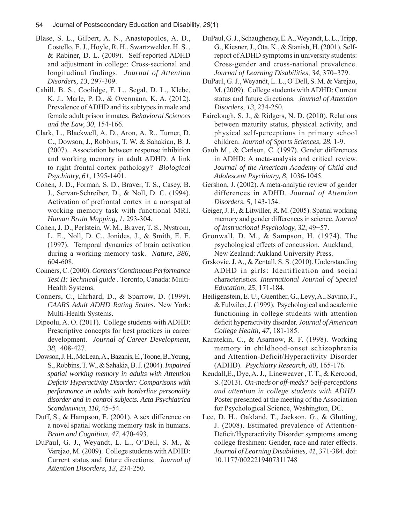- Blase, S. L., Gilbert, A. N., Anastopoulos, A. D., Costello, E. J., Hoyle, R. H., Swartzwelder, H. S. , & Rabiner, D. L. (2009). Self-reported ADHD and adjustment in college: Cross-sectional and longitudinal findings. *Journal of Attention Disorders, 13*, 297-309.
- Cahill, B. S., Coolidge, F. L., Segal, D. L., Klebe, K. J., Marle, P. D., & Overmann, K. A. (2012). Prevalence of ADHD and its subtypes in male and female adult prison inmates. *Behavioral Sciences and the Law, 30*, 154-166.
- Clark, L., Blackwell, A. D., Aron, A. R., Turner, D. C., Dowson, J., Robbins, T. W. & Sahakian, B. J. (2007). Association between response inhibition and working memory in adult ADHD: A link to right frontal cortex pathology? *Biological Psychiatry, 61*, 1395-1401.
- Cohen, J. D., Forman, S. D., Braver, T. S., Casey, B. J., Servan-Schreiber, D., & Noll, D. C. (1994). Activation of prefrontal cortex in a nonspatial working memory task with functional MRI. *Human Brain Mapping, 1*, 293-304.
- Cohen, J. D., Perlstein, W. M., Braver, T. S., Nystrom, L. E., Noll, D. C., Jonides, J., & Smith, E. E. (1997). Temporal dynamics of brain activation during a working memory task. *Nature, 386,*  604-608.
- Conners, C. (2000). *Conners' Continuous Performance Test II: Technical guide* . Toronto, Canada: Multi-Health Systems.
- Conners, C., Ehrhard, D., & Sparrow, D. (1999). *CAARS Adult ADHD Rating Scales*. New York: Multi-Health Systems.
- Dipeolu, A. O. (2011). College students with ADHD: Prescriptive concepts for best practices in career development. *Journal of Career Development, 38*, 408-427.
- Dowson, J. H., McLean, A., Bazanis, E., Toone, B.,Young, S., Robbins, T. W., & Sahakia, B. J. (2004). *Impaired spatial working memory in adults with Attention Defi cit/ Hyperactivity Disorder: Comparisons with performance in adults with borderline personality disorder and in control subjects. Acta Psychiatrica Scandanivica, 110,* 45–54.
- Duff, S., & Hampson, E. (2001). A sex difference on a novel spatial working memory task in humans. *Brain and Cognition, 47*, 470-493.
- DuPaul, G. J., Weyandt, L. L., O'Dell, S. M., & Varejao, M. (2009). College students with ADHD: Current status and future directions. *Journal of Attention Disorders, 13*, 234-250.
- DuPaul, G. J., Schaughency, E. A., Weyandt, L. L., Tripp, G., Kiesner, J., Ota, K., & Stanish, H. (2001). Selfreport of ADHD symptoms in university students: Cross-gender and cross-national prevalence. *Journal of Learning Disabilities, 34*, 370–379.
- DuPaul, G. J., Weyandt, L. L., O'Dell, S. M. & Varejao, M. (2009). College students with ADHD: Current status and future directions. *Journal of Attention Disorders, 13*, 234-250.
- Fairclough, S. J., & Ridgers, N. D. (2010). Relations between maturity status, physical activity, and physical self-perceptions in primary school children. *Journal of Sports Sciences, 28*, 1-9.
- Gaub M., & Carlson, C. (1997). Gender differences in ADHD: A meta-analysis and critical review. *Journal of the American Academy of Child and Adolescent Psychiatry, 8*, 1036-1045.
- Gershon, J. (2002). A meta-analytic review of gender differences in ADHD. *Journal of Attention Disorders, 5*, 143-154.
- Geiger, J. F., & Litwiller, R. M. (2005). Spatial working memory and gender differences in science. *Journal of Instructional Psychology, 32*, 49−57.
- Gronwall, D. M., & Sampson, H. (1974). The psychological effects of concussion. Auckland, New Zealand: Aukland University Press.
- Grskovic, J. A., & Zentall, S. S. (2010). Understanding ADHD in girls: Identification and social characteristics. *International Journal of Special Education, 25*, 171-184.
- Heiligenstein, E. U., Guenther, G., Levy, A., Savino, F., & Fulwiler, J. (1999). Psychological and academic functioning in college students with attention deficit hyperactivity disorder. *Journal of American College Health, 47*, 181-185.
- Karatekin, C., & Asarnow, R. F. (1998). Working memory in childhood-onset schizophrenia and Attention-Deficit/Hyperactivity Disorder (ADHD). *Psychiatry Research, 80*, 165-176.
- Kendall,E., Dye, A. J., Lineweaver , T. T., & Kercood, S. (2013). *On-meds or off-meds? Self-perceptions and attention in college students with ADHD.*  Poster presented at the meeting of the Association for Psychological Science, Washington, DC.
- Lee, D. H., Oakland, T., Jackson, G., & Glutting, J. (2008). Estimated prevalence of Attention-Deficit/Hyperactivity Disorder symptoms among college freshmen: Gender, race and rater effects. *Journal of Learning Disabilities, 41*, 371-384. doi: 10.1177/0022219407311748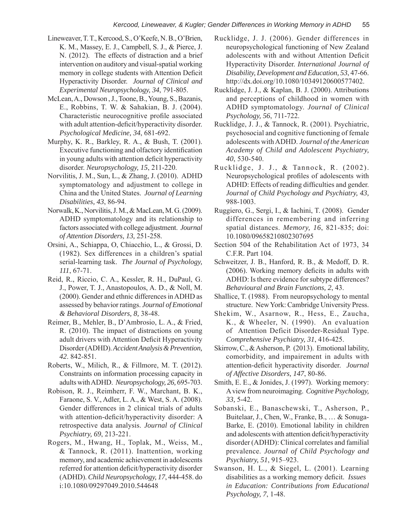- Lineweaver, T. T., Kercood, S., O'Keefe, N. B., O'Brien, K. M., Massey, E. J., Campbell, S. J., & Pierce, J. N. (2012). The effects of distraction and a brief intervention on auditory and visual-spatial working memory in college students with Attention Deficit Hyperactivity Disorder. *Journal of Clinical and Experimental Neuropsychology, 34*, 791-805.
- McLean, A., Dowson , J., Toone, B., Young, S., Bazanis, E., Robbins, T. W. & Sahakian, B. J. (2004). Characteristic neurocognitive profile associated with adult attention-deficit/hyperactivity disorder. *Psychological Medicine, 34*, 681-692.
- Murphy, K. R., Barkley, R. A., & Bush, T. (2001). Executive functioning and olfactory identification in young adults with attention deficit hyperactivity disorder. *Neuropsychology, 15*, 211-220.
- Norvilitis, J. M., Sun, L., & Zhang, J. (2010). ADHD symptomatology and adjustment to college in China and the United States. *Journal of Learning Disabilities, 43*, 86-94.
- Norwalk, K., Norvilitis, J. M., & MacLean, M. G. (2009). ADHD symptomatology and its relationship to factors associated with college adjustment. *Journal of Attention Disorders, 13,* 251-258.
- Orsini, A., Schiappa, O, Chiacchio, L., & Grossi, D. (1982). Sex differences in a children's spatial serial-learning task. *The Journal of Psychology, 111*, 67-71.
- Reid, R., Riccio, C. A., Kessler, R. H., DuPaul, G. J., Power, T. J., Anastopoulos, A. D., & Noll, M. (2000). Gender and ethnic differences in ADHD as assessed by behavior ratings. *Journal of Emotional & Behavioral Disorders, 8,* 38-48.
- Reimer, B., Mehler, B., D'Ambrosio, L. A., & Fried, R. (2010). The impact of distractions on young adult drivers with Attention Deficit Hyperactivity Disorder (ADHD). *Accident Analysis & Prevention, 42*. 842-851.
- Roberts, W., Milich, R., & Fillmore, M. T. (2012). Constraints on information processing capacity in adults with ADHD. *Neuropsychology, 26,* 695-703.
- Robison, R. J., Reimherr, F. W., Marchant, B. K., Faraone, S. V., Adler, L. A., & West, S. A. (2008). Gender differences in 2 clinical trials of adults with attention-deficit/hyperactivity disorder: A retrospective data analysis. *Journal of Clinical Psychiatry, 69*, 213-221.
- Rogers, M., Hwang, H., Toplak, M., Weiss, M., & Tannock, R. (2011). Inattention, working memory, and academic achievement in adolescents referred for attention deficit/hyperactivity disorder (ADHD). *Child Neuropsychology, 17*, 444-458. do i:10.1080/09297049.2010.544648
- Rucklidge, J. J. (2006). Gender differences in neuropsychological functioning of New Zealand adolescents with and without Attention Deficit Hyperactivity Disorder. *International Journal of Disability, Development and Education, 53*, 47-66. http://dx.doi.org/10.1080/10349120600577402.
- Rucklidge, J. J., & Kaplan, B. J. (2000). Attributions and perceptions of childhood in women with ADHD symptomatology. *Journal of Clinical Psychology, 56*, 711-722.
- Rucklidge, J. J., & Tannock, R. (2001). Psychiatric, psychosocial and cognitive functioning of female adolescents with ADHD. *Journal of the American Academy of Child and Adolescent Psychiatry, 40*, 530-540.
- Rucklidge, J. J., & Tannock, R. (2002). Neuropsychological profiles of adolescents with ADHD: Effects of reading difficulties and gender. *Journal of Child Psychology and Psychiatry, 43,*  988-1003.
- Ruggiero, G., Sergi, I., & Iachini, T. (2008). Gender differences in remembering and inferring spatial distances. *Memory, 16*, 821-835; doi: 10.1080/09658210802307695
- Section 504 of the Rehabilitation Act of 1973, 34 C.F.R. Part 104.
- Schweitzer, J. B., Hanford, R. B., & Medoff, D. R.  $(2006)$ . Working memory deficits in adults with ADHD: Is there evidence for subtype differences? *Behavioural and Brain Functions, 2*, 43.
- Shallice, T. (1988). From neuropsychology to mental structure. New York: Cambridge University Press.
- Shekim, W., Asarnow, R., Hess, E., Zaucha, K., & Wheeler, N. (1990). An evaluation of Attention Deficit Disorder-Residual Type. *Comprehensive Psychiatry, 31*, 416-425.
- Skirrow, C., & Asherson, P. (2013). Emotional lability, comorbidity, and impairement in adults with attention-deficit hyperactivity disorder. *Journal of Affective Disorders, 147*, 80-86.
- Smith, E. E., & Jonides, J. (1997). Working memory: A view from neuroimaging. *Cognitive Psychology, 33,* 5-42.
- Sobanski, E., Banaschewski, T., Asherson, P., Buitelaar, J., Chen, W., Franke, B., … & Sonuga-Barke, E. (2010). Emotional lability in children and adolescents with attention deficit/hyperactivity disorder (ADHD): Clinical correlates and familial prevalence. *Journal of Child Psychology and Psychiatry, 51*, 915–923.
- Swanson, H. L., & Siegel, L. (2001). Learning disabilities as a working memory deficit. *Issues in Education: Contributions from Educational Psychology, 7*, 1-48.